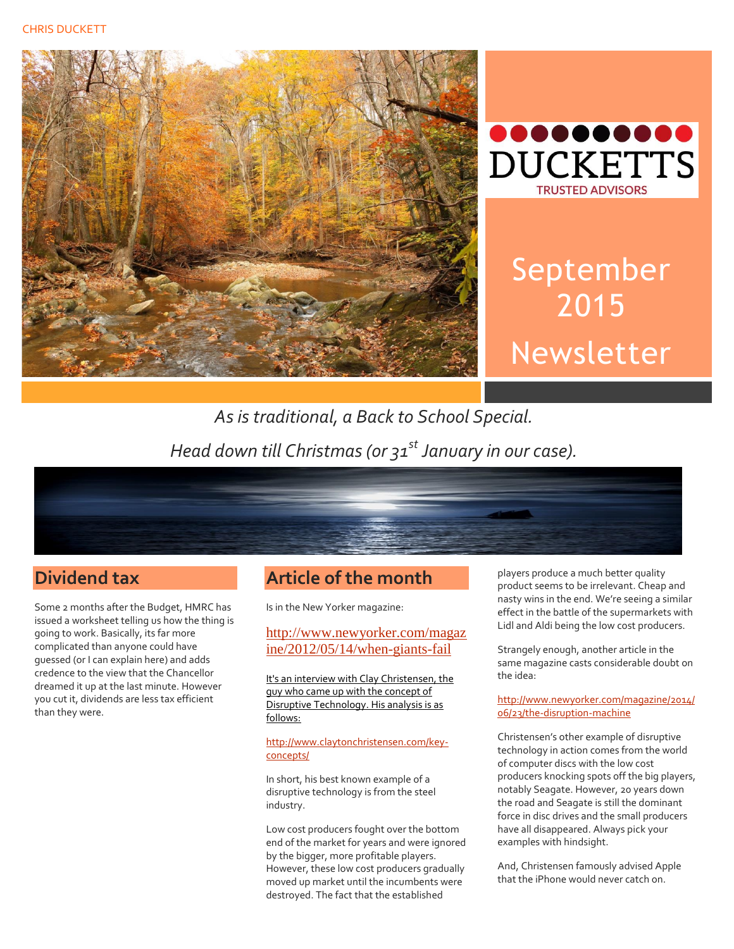



# September 2015 Newsletter

# *As is traditional, a Back to School Special. Head down till Christmas (or 31st January in our case).*



## **Dividend tax**

Some 2 months after the Budget, HMRC has issued a worksheet telling us how the thing is going to work. Basically, its far more complicated than anyone could have guessed (or I can explain here) and adds credence to the view that the Chancellor dreamed it up at the last minute. However you cut it, dividends are less tax efficient than they were.

## **Article of the month**

Is in the New Yorker magazine:

#### [http://www.newyorker.com/magaz](http://www.newyorker.com/magazine/2012/05/14/when-giants-fail) [ine/2012/05/14/when-giants-fail](http://www.newyorker.com/magazine/2012/05/14/when-giants-fail)

It's an interview with Clay Christensen, the guy who came up with the concept of Disruptive Technology. His analysis is as follows:

#### [http://www.claytonchristensen.com/key](http://www.claytonchristensen.com/key-concepts/)[concepts/](http://www.claytonchristensen.com/key-concepts/)

In short, his best known example of a disruptive technology is from the steel industry.

Low cost producers fought over the bottom end of the market for years and were ignored by the bigger, more profitable players. However, these low cost producers gradually moved up market until the incumbents were destroyed. The fact that the established

players produce a much better quality product seems to be irrelevant. Cheap and nasty wins in the end. We're seeing a similar effect in the battle of the supermarkets with Lidl and Aldi being the low cost producers.

Strangely enough, another article in the same magazine casts considerable doubt on the idea:

#### [http://www.newyorker.com/magazine/2014/](http://www.newyorker.com/magazine/2014/06/23/the-disruption-machine) [06/23/the-disruption-machine](http://www.newyorker.com/magazine/2014/06/23/the-disruption-machine)

Christensen's other example of disruptive technology in action comes from the world of computer discs with the low cost producers knocking spots off the big players, notably Seagate. However, 20 years down the road and Seagate is still the dominant force in disc drives and the small producers have all disappeared. Always pick your examples with hindsight.

And, Christensen famously advised Apple that the iPhone would never catch on.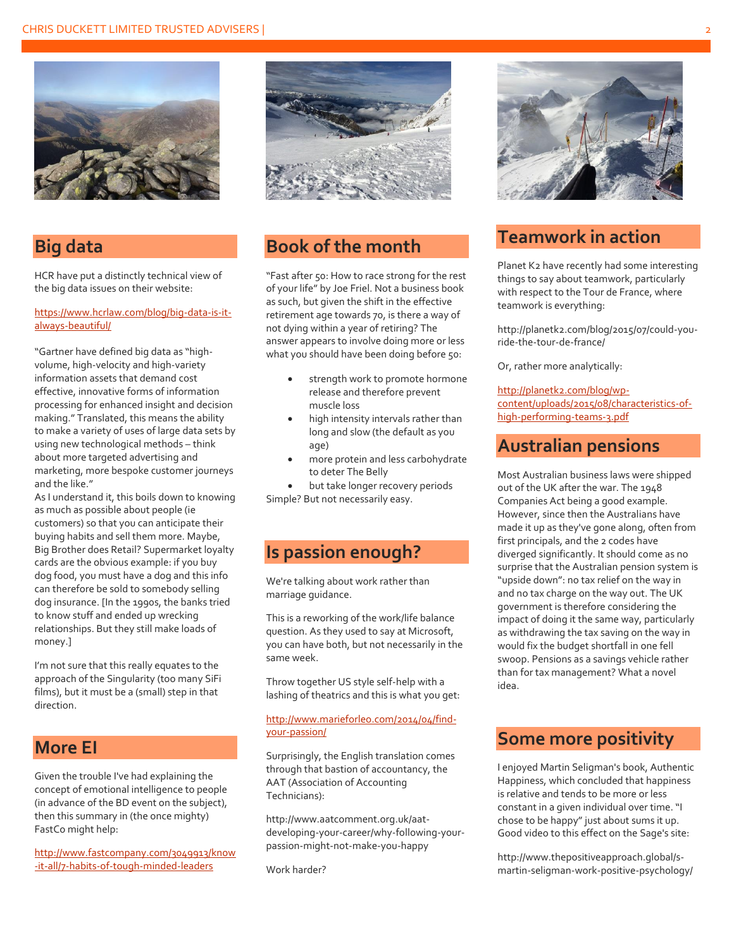

#### **Big data**

HCR have put a distinctly technical view of the big data issues on their website:

#### [https://www.hcrlaw.com/blog/big-data-is-it](https://www.hcrlaw.com/blog/big-data-is-it-always-beautiful/)[always-beautiful/](https://www.hcrlaw.com/blog/big-data-is-it-always-beautiful/)

"Gartner have defined big data as "highvolume, high-velocity and high-variety information assets that demand cost effective, innovative forms of information processing for enhanced insight and decision making." Translated, this means the ability to make a variety of uses of large data sets by using new technological methods – think about more targeted advertising and marketing, more bespoke customer journeys and the like."

As I understand it, this boils down to knowing as much as possible about people (ie customers) so that you can anticipate their buying habits and sell them more. Maybe, Big Brother does Retail? Supermarket loyalty cards are the obvious example: if you buy dog food, you must have a dog and this info can therefore be sold to somebody selling dog insurance. [In the 1990s, the banks tried to know stuff and ended up wrecking relationships. But they still make loads of money.]

I'm not sure that this really equates to the approach of the Singularity (too many SiFi films), but it must be a (small) step in that direction.

#### **More EI**

Given the trouble I've had explaining the concept of emotional intelligence to people (in advance of the BD event on the subject), then this summary in (the once mighty) FastCo might help:

[http://www.fastcompany.com/3049913/know](http://www.fastcompany.com/3049913/know-it-all/7-habits-of-tough-minded-leaders) [-it-all/7-habits-of-tough-minded-leaders](http://www.fastcompany.com/3049913/know-it-all/7-habits-of-tough-minded-leaders)



## **Book of the month**

"Fast after 50: How to race strong for the rest of your life" by Joe Friel. Not a business book as such, but given the shift in the effective retirement age towards 70, is there a way of not dying within a year of retiring? The answer appears to involve doing more or less what you should have been doing before 50:

- strength work to promote hormone release and therefore prevent muscle loss
- high intensity intervals rather than long and slow (the default as you age)
- more protein and less carbohydrate to deter The Belly

 but take longer recovery periods Simple? But not necessarily easy.

#### **Is passion enough?**

We're talking about work rather than marriage guidance.

This is a reworking of the work/life balance question. As they used to say at Microsoft, you can have both, but not necessarily in the same week.

Throw together US style self-help with a lashing of theatrics and this is what you get:

#### [http://www.marieforleo.com/2014/04/find](http://www.marieforleo.com/2014/04/find-your-passion/)[your-passion/](http://www.marieforleo.com/2014/04/find-your-passion/)

Surprisingly, the English translation comes through that bastion of accountancy, the AAT (Association of Accounting Technicians):

http://www.aatcomment.org.uk/aatdeveloping-your-career/why-following-yourpassion-might-not-make-you-happy

Work harder?



## **Teamwork in action**

Planet K2 have recently had some interesting things to say about teamwork, particularly with respect to the Tour de France, where teamwork is everything:

http://planetk2.com/blog/2015/07/could-youride-the-tour-de-france/

Or, rather more analytically:

#### [http://planetk2.com/blog/wp-](http://planetk2.com/blog/wp-content/uploads/2015/08/characteristics-of-high-performing-teams-3.pdf)

[content/uploads/2015/08/characteristics-of](http://planetk2.com/blog/wp-content/uploads/2015/08/characteristics-of-high-performing-teams-3.pdf)[high-performing-teams-3.pdf](http://planetk2.com/blog/wp-content/uploads/2015/08/characteristics-of-high-performing-teams-3.pdf)

#### **Australian pensions**

Most Australian business laws were shipped out of the UK after the war. The 1948 Companies Act being a good example. However, since then the Australians have made it up as they've gone along, often from first principals, and the 2 codes have diverged significantly. It should come as no surprise that the Australian pension system is "upside down": no tax relief on the way in and no tax charge on the way out. The UK government is therefore considering the impact of doing it the same way, particularly as withdrawing the tax saving on the way in would fix the budget shortfall in one fell swoop. Pensions as a savings vehicle rather than for tax management? What a novel idea.

#### **Some more positivity**

I enjoyed Martin Seligman's book, Authentic Happiness, which concluded that happiness is relative and tends to be more or less constant in a given individual over time. "I chose to be happy" just about sums it up. Good video to this effect on the Sage's site:

http://www.thepositiveapproach.global/smartin-seligman-work-positive-psychology/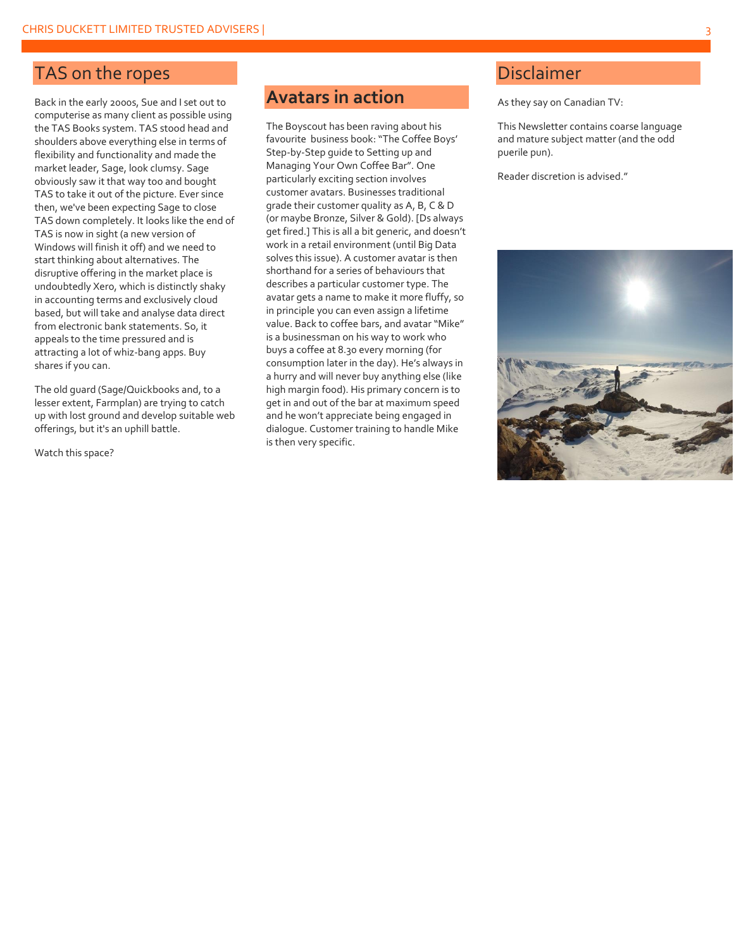## TAS on the ropes

Back in the early 2000s, Sue and I set out to computerise as many client as possible using the TAS Books system. TAS stood head and shoulders above everything else in terms of flexibility and functionality and made the market leader, Sage, look clumsy. Sage obviously saw it that way too and bought TAS to take it out of the picture. Ever since then, we've been expecting Sage to close TAS down completely. It looks like the end of TAS is now in sight (a new version of Windows will finish it off) and we need to start thinking about alternatives. The disruptive offering in the market place is undoubtedly Xero, which is distinctly shaky in accounting terms and exclusively cloud based, but will take and analyse data direct from electronic bank statements. So, it appeals to the time pressured and is attracting a lot of whiz-bang apps. Buy shares if you can.

The old guard (Sage/Quickbooks and, to a lesser extent, Farmplan) are trying to catch up with lost ground and develop suitable web offerings, but it's an uphill battle.

Watch this space?

## **Avatars in action**

The Boyscout has been raving about his favourite business book: "The Coffee Boys' Step-by-Step guide to Setting up and Managing Your Own Coffee Bar". One particularly exciting section involves customer avatars. Businesses traditional grade their customer quality as A, B, C & D (or maybe Bronze, Silver & Gold). [Ds always get fired.] This is all a bit generic, and doesn't work in a retail environment (until Big Data solves this issue). A customer avatar is then shorthand for a series of behaviours that describes a particular customer type. The avatar gets a name to make it more fluffy, so in principle you can even assign a lifetime value. Back to coffee bars, and avatar "Mike" is a businessman on his way to work who buys a coffee at 8.30 every morning (for consumption later in the day). He's always in a hurry and will never buy anything else (like high margin food). His primary concern is to get in and out of the bar at maximum speed and he won't appreciate being engaged in dialogue. Customer training to handle Mike is then very specific.

## Disclaimer

As they say on Canadian TV:

This Newsletter contains coarse language and mature subject matter (and the odd puerile pun).

Reader discretion is advised."